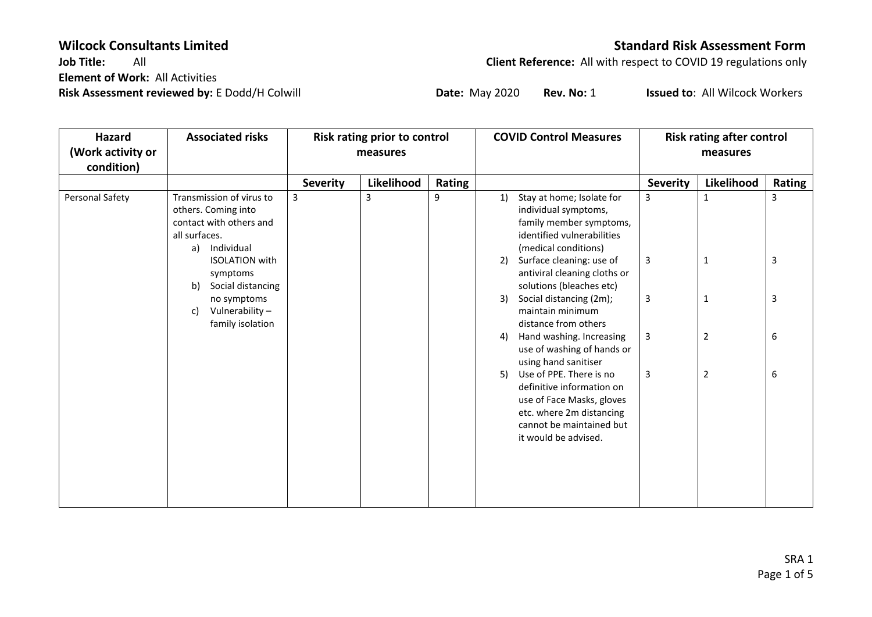**Element of Work:** All Activities **Risk Assessment reviewed by:** E Dodd/H Colwill **Date:** May 2020 **Rev. No:** 1 **Issued to**: All Wilcock Workers

**Wilcock Consultants Limited Standard Risk Assessment Form**<br>Job Title: All All Standard Risk Assessment Form **Client Reference:** All with respect to COVID 19 regulations only

| Hazard<br>(Work activity or | <b>Associated risks</b>                                                                                                                                                              | Risk rating prior to control<br>measures |            |        | <b>COVID Control Measures</b>                                                                                                                                           |                 | <b>Risk rating after control</b><br>measures |              |  |
|-----------------------------|--------------------------------------------------------------------------------------------------------------------------------------------------------------------------------------|------------------------------------------|------------|--------|-------------------------------------------------------------------------------------------------------------------------------------------------------------------------|-----------------|----------------------------------------------|--------------|--|
| condition)                  |                                                                                                                                                                                      |                                          |            |        |                                                                                                                                                                         |                 |                                              |              |  |
|                             |                                                                                                                                                                                      | <b>Severity</b>                          | Likelihood | Rating |                                                                                                                                                                         | <b>Severity</b> | Likelihood                                   | Rating       |  |
| Personal Safety             | Transmission of virus to<br>3<br>others. Coming into<br>contact with others and<br>all surfaces.<br>Individual<br>a)<br><b>ISOLATION with</b><br>symptoms<br>b)<br>Social distancing |                                          | 3          | 9      | Stay at home; Isolate for<br>1)<br>individual symptoms,<br>family member symptoms,<br>identified vulnerabilities<br>(medical conditions)                                | 3               | 1                                            | 3            |  |
|                             |                                                                                                                                                                                      |                                          |            |        | Surface cleaning: use of<br>2)<br>antiviral cleaning cloths or<br>solutions (bleaches etc)                                                                              | $\mathbf{3}$    | 1                                            | $\mathbf{3}$ |  |
|                             | no symptoms<br>Vulnerability-<br>c)<br>family isolation                                                                                                                              |                                          |            |        | Social distancing (2m);<br>3)<br>maintain minimum<br>distance from others                                                                                               | 3               | 1                                            | 3            |  |
|                             |                                                                                                                                                                                      |                                          |            |        | Hand washing. Increasing<br>4)<br>use of washing of hands or<br>using hand sanitiser                                                                                    | $\mathbf{3}$    | 2                                            | 6            |  |
|                             |                                                                                                                                                                                      |                                          |            |        | Use of PPE. There is no<br>5)<br>definitive information on<br>use of Face Masks, gloves<br>etc. where 2m distancing<br>cannot be maintained but<br>it would be advised. | 3               | 2                                            | 6            |  |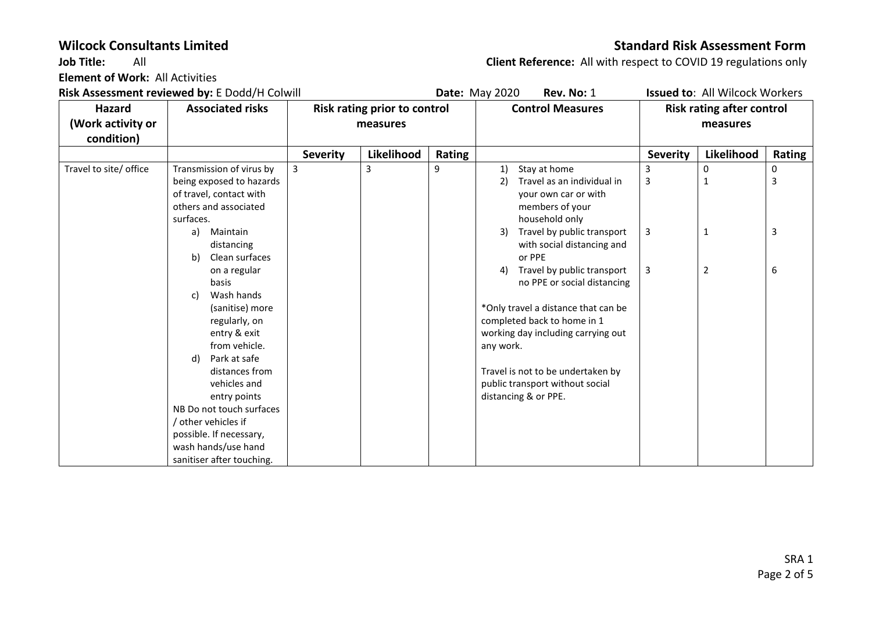**Element of Work:** All Activities

# **Wilcock Consultants Limited Consultants Limited Consultants Assessment Form**

**Job Title:** All **Client Reference:** All with respect to COVID 19 regulations only

**Risk Assessment reviewed by:** E Dodd/H Colwill **Date:** May 2020 **Rev. No:** 1 **Issued to**: All Wilcock Workers **Hazard (Work activity or condition)** Associated risks | Risk rating prior to control **measures Control Measures Risk rating after control measures Severity Likelihood Rating Severity Likelihood Rating** Travel to site/ office  $\Box$  Transmission of virus by being exposed to hazards of travel, contact with others and associated surfaces. a) Maintain distancing b) Clean surfaces on a regular basis c) Wash hands (sanitise) more regularly, on entry & exit from vehicle. d) Park at safe distances from vehicles and entry points NB Do not touch surfaces / other vehicles if possible. If necessary, wash hands/use hand sanitiser after touching.  $\begin{array}{ccc} 3 & 3 & 9 & 1 \end{array}$  Stay at home 2) Travel as an individual in your own car or with members of your household only 3) Travel by public transport with social distancing and or PPE 4) Travel by public transport no PPE or social distancing \*Only travel a distance that can be completed back to home in 1 working day including carrying out any work. Travel is not to be undertaken by public transport without social distancing & or PPE. 3 3 3 3 0 1 1 2 0 3 3 6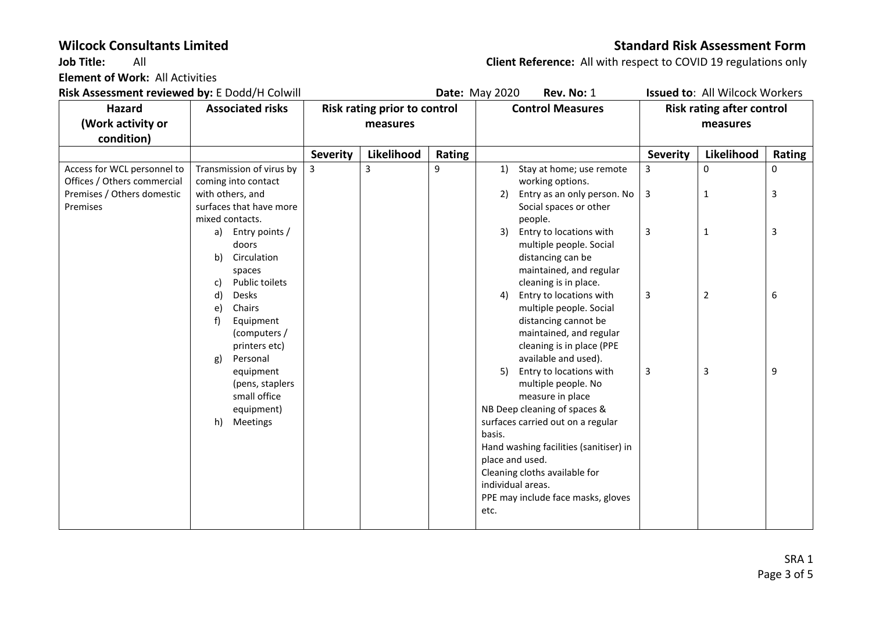**Element of Work:** All Activities

# **Wilcock Consultants Limited Standard Risk Assessment Form**

**Job Title:** All **Client Reference:** All with respect to COVID 19 regulations only

**Risk Assessment reviewed by:** E Dodd/H Colwill **Date:** May 2020 **Rev. No:** 1 **Issued to**: All Wilcock Workers **Hazard (Work activity or condition) Associated risks Risk rating prior to control measures Control Measures Risk rating after control measures Severity Likelihood Rating Severity Likelihood Rating** Access for WCL personnel to Offices / Others commercial Premises / Others domestic Premises Transmission of virus by coming into contact with others, and surfaces that have more mixed contacts. a) Entry points / doors b) Circulation spaces c) Public toilets d) Desks e) Chairs f) Equipment (computers / printers etc) g) Personal equipment (pens, staplers small office equipment) h) Meetings  $\begin{array}{ccc} 3 & | & 3 \end{array}$   $\begin{array}{ccc} | & 9 & | & 1 \end{array}$  Stay at home; use remote working options. 2) Entry as an only person. No Social spaces or other people. 3) Entry to locations with multiple people. Social distancing can be maintained, and regular cleaning is in place. 4) Entry to locations with multiple people. Social distancing cannot be maintained, and regular cleaning is in place (PPE available and used). 5) Entry to locations with multiple people. No measure in place NB Deep cleaning of spaces & surfaces carried out on a regular basis. Hand washing facilities (sanitiser) in place and used. Cleaning cloths available for individual areas. PPE may include face masks, gloves etc. 3 3 3 3 3 0 1 1 2 3 0 3 3 6 9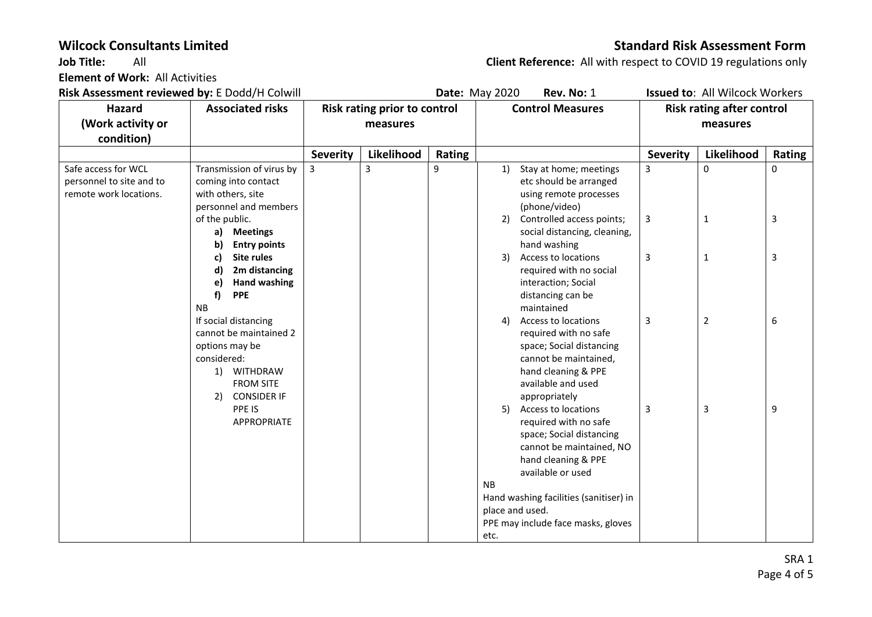**Element of Work:** All Activities

### **Wilcock Consultants Limited Standard Risk Assessment Form**

**Job Title:** All **Client Reference:** All with respect to COVID 19 regulations only

**Risk Assessment reviewed by:** E Dodd/H Colwill **Date:** May 2020 **Rev. No:** 1 **Issued to**: All Wilcock Workers **Hazard (Work activity or condition) Associated risks Risk rating prior to control measures Control Measures Risk rating after control measures Severity Likelihood Rating Severity Likelihood Rating** Safe access for WCL personnel to site and to remote work locations. Transmission of virus by coming into contact with others, site personnel and members of the public. **a) Meetings b) Entry points c) Site rules d) 2m distancing e) Hand washing f) PPE** NB If social distancing cannot be maintained 2 options may be considered: 1) WITHDRAW FROM SITE 2) CONSIDER IF PPE IS APPROPRIATE  $\begin{array}{ccc} 3 & 3 & 9 \end{array}$  1) Stay at home; meetings etc should be arranged using remote processes (phone/video) 2) Controlled access points; social distancing, cleaning, hand washing 3) Access to locations required with no social interaction; Social distancing can be maintained 4) Access to locations required with no safe space; Social distancing cannot be maintained, hand cleaning & PPE available and used appropriately 5) Access to locations required with no safe space; Social distancing cannot be maintained, NO hand cleaning & PPE available or used NB Hand washing facilities (sanitiser) in place and used. PPE may include face masks, gloves etc. 3 3 3 3 3 0 1 1 2 3 0 3 3 6 9